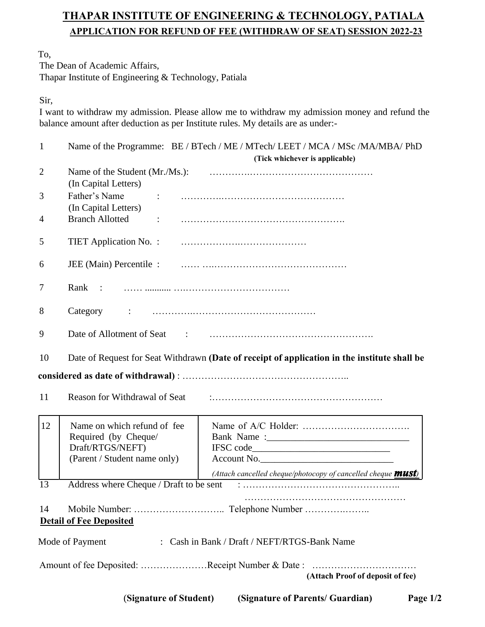# **THAPAR INSTITUTE OF ENGINEERING & TECHNOLOGY, PATIALA APPLICATION FOR REFUND OF FEE (WITHDRAW OF SEAT) SESSION 2022-23**

To,

The Dean of Academic Affairs, Thapar Institute of Engineering & Technology, Patiala

Sir,

I want to withdraw my admission. Please allow me to withdraw my admission money and refund the balance amount after deduction as per Institute rules. My details are as under:-

| $\mathbf{1}$   | Name of the Programme: BE / BTech / ME / MTech/ LEET / MCA / MSc /MA/MBA/ PhD                |  |                                                                      |            |  |  |  |
|----------------|----------------------------------------------------------------------------------------------|--|----------------------------------------------------------------------|------------|--|--|--|
|                |                                                                                              |  | (Tick whichever is applicable)                                       |            |  |  |  |
| $\overline{2}$ | (In Capital Letters)                                                                         |  |                                                                      |            |  |  |  |
| 3              | Father's Name<br>(In Capital Letters)                                                        |  |                                                                      |            |  |  |  |
| 4              | <b>Branch Allotted</b><br>$\ddot{\phantom{a}}$                                               |  |                                                                      |            |  |  |  |
| 5              | TIET Application No. :                                                                       |  |                                                                      |            |  |  |  |
| 6              | JEE (Main) Percentile :                                                                      |  |                                                                      |            |  |  |  |
| 7              | Rank :                                                                                       |  |                                                                      |            |  |  |  |
| 8              | Category                                                                                     |  |                                                                      |            |  |  |  |
| 9              |                                                                                              |  |                                                                      |            |  |  |  |
| 10             | Date of Request for Seat Withdrawn (Date of receipt of application in the institute shall be |  |                                                                      |            |  |  |  |
|                |                                                                                              |  |                                                                      |            |  |  |  |
|                |                                                                                              |  |                                                                      |            |  |  |  |
| 11             | Reason for Withdrawal of Seat                                                                |  |                                                                      |            |  |  |  |
| 12             | Name on which refund of fee                                                                  |  |                                                                      |            |  |  |  |
|                | Required (by Cheque/                                                                         |  |                                                                      |            |  |  |  |
|                | Draft/RTGS/NEFT)                                                                             |  |                                                                      |            |  |  |  |
|                | (Parent / Student name only)                                                                 |  | Account No.                                                          |            |  |  |  |
|                |                                                                                              |  | (Attach cancelled cheque/photocopy of cancelled cheque <b>MUST</b> ) |            |  |  |  |
| 13             | Address where Cheque / Draft to be sent                                                      |  |                                                                      |            |  |  |  |
| 14             |                                                                                              |  |                                                                      |            |  |  |  |
|                | <b>Detail of Fee Deposited</b>                                                               |  |                                                                      |            |  |  |  |
|                | Mode of Payment                                                                              |  | : Cash in Bank / Draft / NEFT/RTGS-Bank Name                         |            |  |  |  |
|                | Amount of fee Deposited: Receipt Number & Date:                                              |  |                                                                      |            |  |  |  |
|                |                                                                                              |  | (Attach Proof of deposit of fee)                                     |            |  |  |  |
|                | (Signature of Student)                                                                       |  | (Signature of Parents/ Guardian)                                     | Page $1/2$ |  |  |  |